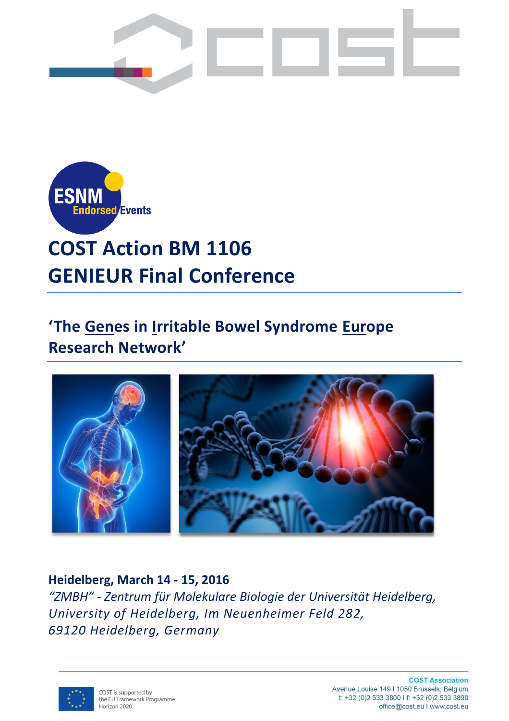



# **COST Action BM 1106 GENIEUR Final Conference**

# **'The Genes in Irritable Bowel Syndrome Europe Research Network'**



# **Heidelberg, March 14 - 15, 2016**

*"ZMBH" - Zentrum für Molekulare Biologie der Universität Heidelberg, University of Heidelberg, Im Neuenheimer Feld 282, 69120 Heidelberg, Germany*



**COST Association** Avenue Louise 149 | 1050 Brussels, Belgium t: +32 (0)2 533 3800 l f: +32 (0)2 533 3890 office@cost.eu I www.cost.eu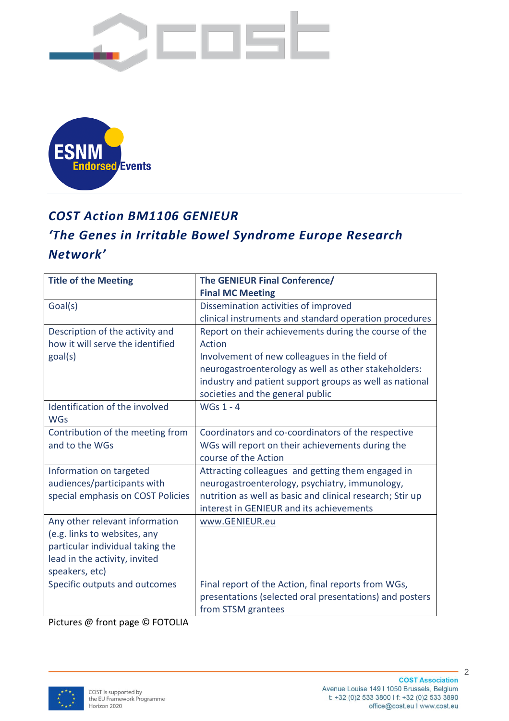



# *COST Action BM1106 GENIEUR*

# *'The Genes in Irritable Bowel Syndrome Europe Research Network'*

| <b>Title of the Meeting</b>       | The GENIEUR Final Conference/                             |  |  |
|-----------------------------------|-----------------------------------------------------------|--|--|
|                                   | <b>Final MC Meeting</b>                                   |  |  |
| Goal(s)                           | Dissemination activities of improved                      |  |  |
|                                   | clinical instruments and standard operation procedures    |  |  |
| Description of the activity and   | Report on their achievements during the course of the     |  |  |
| how it will serve the identified  | Action                                                    |  |  |
| goal(s)                           | Involvement of new colleagues in the field of             |  |  |
|                                   | neurogastroenterology as well as other stakeholders:      |  |  |
|                                   | industry and patient support groups as well as national   |  |  |
|                                   | societies and the general public                          |  |  |
| Identification of the involved    | <b>WGs 1 - 4</b>                                          |  |  |
| <b>WGs</b>                        |                                                           |  |  |
| Contribution of the meeting from  | Coordinators and co-coordinators of the respective        |  |  |
| and to the WGs                    | WGs will report on their achievements during the          |  |  |
|                                   | course of the Action                                      |  |  |
| Information on targeted           | Attracting colleagues and getting them engaged in         |  |  |
| audiences/participants with       | neurogastroenterology, psychiatry, immunology,            |  |  |
| special emphasis on COST Policies | nutrition as well as basic and clinical research; Stir up |  |  |
|                                   | interest in GENIEUR and its achievements                  |  |  |
| Any other relevant information    | www.GENIEUR.eu                                            |  |  |
| (e.g. links to websites, any      |                                                           |  |  |
| particular individual taking the  |                                                           |  |  |
| lead in the activity, invited     |                                                           |  |  |
| speakers, etc)                    |                                                           |  |  |
| Specific outputs and outcomes     | Final report of the Action, final reports from WGs,       |  |  |
|                                   | presentations (selected oral presentations) and posters   |  |  |
|                                   | from STSM grantees                                        |  |  |

Pictures @ front page © FOTOLIA

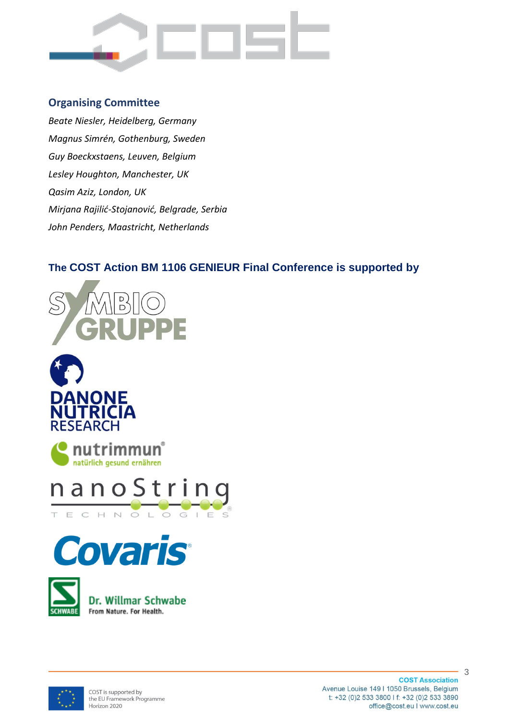

### **Organising Committee**

*Beate Niesler, Heidelberg, Germany Magnus Simrén, Gothenburg, Sweden Guy Boeckxstaens, Leuven, Belgium Lesley Houghton, Manchester, UK Qasim Aziz, London, UK Mirjana Rajilić-Stojanović, Belgrade, Serbia John Penders, Maastricht, Netherlands*

# **The COST Action BM 1106 GENIEUR Final Conference is supported by**













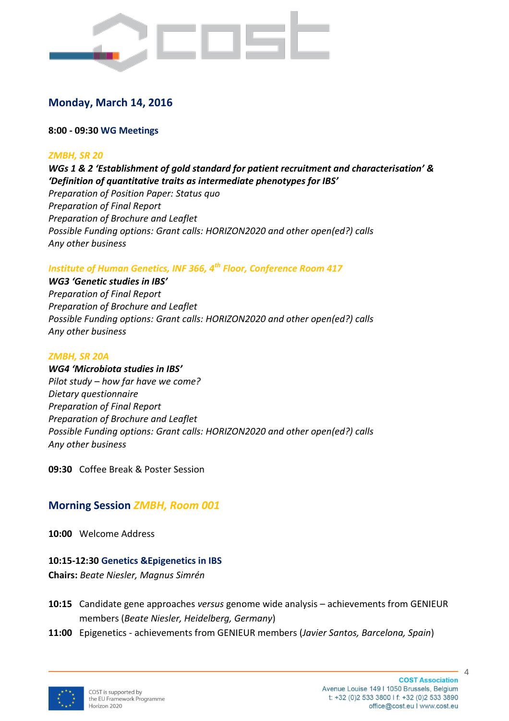

# **Monday, March 14, 2016**

#### **8:00 - 09:30 WG Meetings**

#### *ZMBH, SR 20*

*WGs 1 & 2 'Establishment of gold standard for patient recruitment and characterisation' & 'Definition of quantitative traits as intermediate phenotypes for IBS' Preparation of Position Paper: Status quo Preparation of Final Report Preparation of Brochure and Leaflet Possible Funding options: Grant calls: HORIZON2020 and other open(ed?) calls Any other business*

#### *Institute of Human Genetics, INF 366, 4th Floor, Conference Room 417*

#### *WG3 'Genetic studies in IBS'*

*Preparation of Final Report Preparation of Brochure and Leaflet Possible Funding options: Grant calls: HORIZON2020 and other open(ed?) calls Any other business*

#### *ZMBH, SR 20A*

*WG4 'Microbiota studies in IBS' Pilot study – how far have we come? Dietary questionnaire Preparation of Final Report Preparation of Brochure and Leaflet Possible Funding options: Grant calls: HORIZON2020 and other open(ed?) calls Any other business*

**09:30** Coffee Break & Poster Session

## **Morning Session** *ZMBH, Room 001*

**10:00** Welcome Address

#### **10:15-12:30 Genetics &Epigenetics in IBS**

**Chairs:** *Beate Niesler, Magnus Simrén*

- **10:15** Candidate gene approaches *versus* genome wide analysis achievements from GENIEUR members (*Beate Niesler, Heidelberg, Germany*)
- **11:00** Epigenetics achievements from GENIEUR members (*Javier Santos, Barcelona, Spain*)

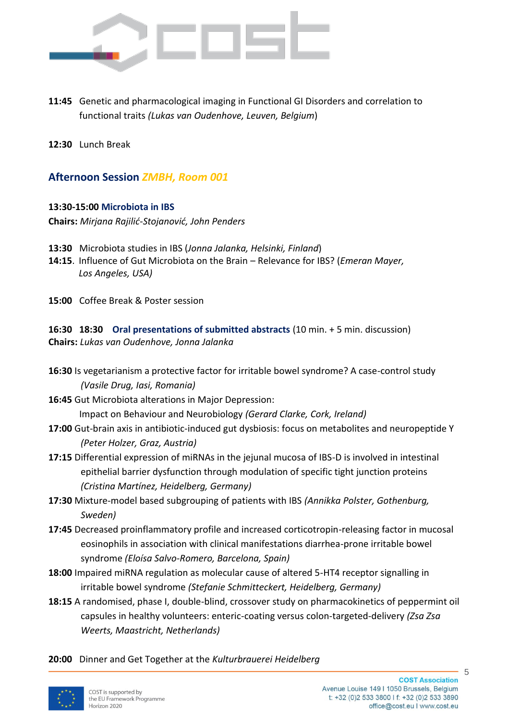

- **11:45** Genetic and pharmacological imaging in Functional GI Disorders and correlation to functional traits *(Lukas van Oudenhove, Leuven, Belgium*)
- **12:30** Lunch Break

### **Afternoon Session** *ZMBH, Room 001*

#### **13:30-15:00 Microbiota in IBS**

**Chairs:** *Mirjana Rajilić-Stojanović, John Penders*

- **13:30** Microbiota studies in IBS (*Jonna Jalanka, Helsinki, Finland*)
- **14:15**. Influence of Gut Microbiota on the Brain Relevance for IBS? (*Emeran Mayer, Los Angeles, USA)*
- **15:00** Coffee Break & Poster session

**16:30 18:30 Oral presentations of submitted abstracts** (10 min. + 5 min. discussion) **Chairs:** *Lukas van Oudenhove, Jonna Jalanka*

- **16:30** Is vegetarianism a protective factor for irritable bowel syndrome? A case-control study *(Vasile Drug, Iasi, Romania)*
- **16:45** Gut Microbiota alterations in Major Depression: Impact on Behaviour and Neurobiology *(Gerard Clarke, Cork, Ireland)*
- **17:00** Gut-brain axis in antibiotic-induced gut dysbiosis: focus on metabolites and neuropeptide Y *(Peter Holzer, Graz, Austria)*
- **17:15** Differential expression of miRNAs in the jejunal mucosa of IBS-D is involved in intestinal epithelial barrier dysfunction through modulation of specific tight junction proteins *(Cristina Martínez, Heidelberg, Germany)*
- **17:30** Mixture-model based subgrouping of patients with IBS *(Annikka Polster, Gothenburg, Sweden)*
- **17:45** Decreased proinflammatory profile and increased corticotropin-releasing factor in mucosal eosinophils in association with clinical manifestations diarrhea-prone irritable bowel syndrome *(Eloísa Salvo-Romero, Barcelona, Spain)*
- **18:00** Impaired miRNA regulation as molecular cause of altered 5-HT4 receptor signalling in irritable bowel syndrome *(Stefanie Schmitteckert, Heidelberg, Germany)*
- **18:15** A randomised, phase I, double-blind, crossover study on pharmacokinetics of peppermint oil capsules in healthy volunteers: enteric-coating versus colon-targeted-delivery *(Zsa Zsa Weerts, Maastricht, Netherlands)*

**20:00** Dinner and Get Together at the *Kulturbrauerei Heidelberg*

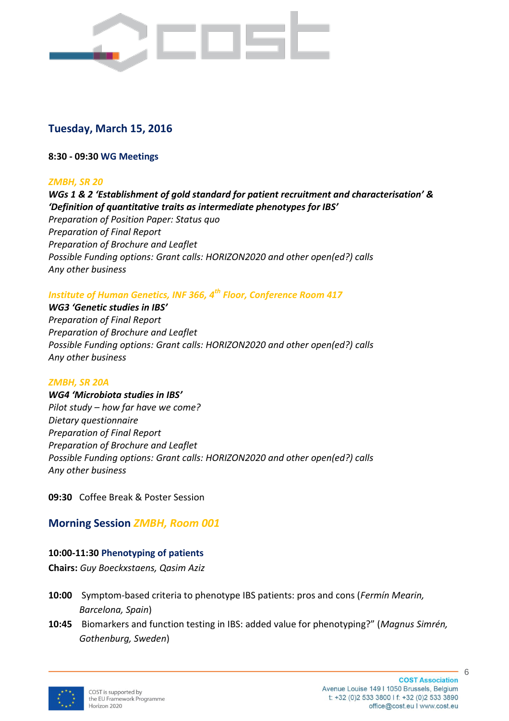

# **Tuesday, March 15, 2016**

#### **8:30 - 09:30 WG Meetings**

#### *ZMBH, SR 20*

*WGs 1 & 2 'Establishment of gold standard for patient recruitment and characterisation' & 'Definition of quantitative traits as intermediate phenotypes for IBS' Preparation of Position Paper: Status quo Preparation of Final Report Preparation of Brochure and Leaflet Possible Funding options: Grant calls: HORIZON2020 and other open(ed?) calls Any other business*

#### *Institute of Human Genetics, INF 366, 4th Floor, Conference Room 417*

*WG3 'Genetic studies in IBS' Preparation of Final Report Preparation of Brochure and Leaflet Possible Funding options: Grant calls: HORIZON2020 and other open(ed?) calls Any other business*

#### *ZMBH, SR 20A*

*WG4 'Microbiota studies in IBS' Pilot study – how far have we come? Dietary questionnaire Preparation of Final Report Preparation of Brochure and Leaflet Possible Funding options: Grant calls: HORIZON2020 and other open(ed?) calls Any other business*

**09:30** Coffee Break & Poster Session

# **Morning Session** *ZMBH, Room 001*

### **10:00-11:30 Phenotyping of patients**

**Chairs:** *Guy Boeckxstaens, Qasim Aziz*

- **10:00** Symptom-based criteria to phenotype IBS patients: pros and cons (*Fermín Mearin, Barcelona, Spain*)
- **10:45** Biomarkers and function testing in IBS: added value for phenotyping?" (*Magnus Simrén, Gothenburg, Sweden*)

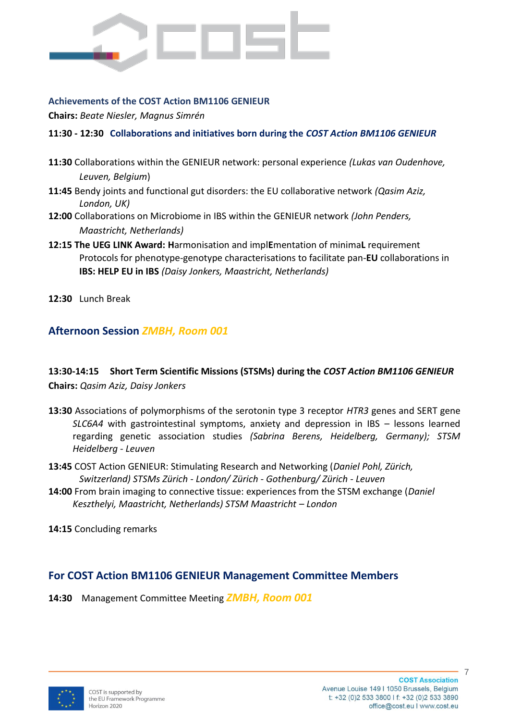

#### **Achievements of the COST Action BM1106 GENIEUR**

**Chairs:** *Beate Niesler, Magnus Simrén*

#### **11:30 - 12:30 Collaborations and initiatives born during the** *COST Action BM1106 GENIEUR*

- **11:30** Collaborations within the GENIEUR network: personal experience *(Lukas van Oudenhove, Leuven, Belgium*)
- **11:45** Bendy joints and functional gut disorders: the EU collaborative network *(Qasim Aziz, London, UK)*
- **12:00** Collaborations on Microbiome in IBS within the GENIEUR network *(John Penders, Maastricht, Netherlands)*
- **12:15 The UEG LINK Award: H**armonisation and impl**E**mentation of minima**L** requirement Protocols for phenotype-genotype characterisations to facilitate pan-**EU** collaborations in **IBS: HELP EU in IBS** *(Daisy Jonkers, Maastricht, Netherlands)*
- **12:30** Lunch Break

### **Afternoon Session** *ZMBH, Room 001*

### **13:30-14:15 Short Term Scientific Missions (STSMs) during the** *COST Action BM1106 GENIEUR* **Chairs:** *Qasim Aziz, Daisy Jonkers*

- **13:30** Associations of polymorphisms of the serotonin type 3 receptor *HTR3* genes and SERT gene *SLC6A4* with gastrointestinal symptoms, anxiety and depression in IBS – lessons learned regarding genetic association studies *(Sabrina Berens, Heidelberg, Germany); STSM Heidelberg - Leuven*
- **13:45** COST Action GENIEUR: Stimulating Research and Networking (*Daniel Pohl, Zürich, Switzerland) STSMs Zürich - London/ Zürich - Gothenburg/ Zürich - Leuven*
- **14:00** From brain imaging to connective tissue: experiences from the STSM exchange (*Daniel Keszthelyi, Maastricht, Netherlands) STSM Maastricht – London*

**14:15** Concluding remarks

### **For COST Action BM1106 GENIEUR Management Committee Members**

**14:30** Management Committee Meeting *ZMBH, Room 001*

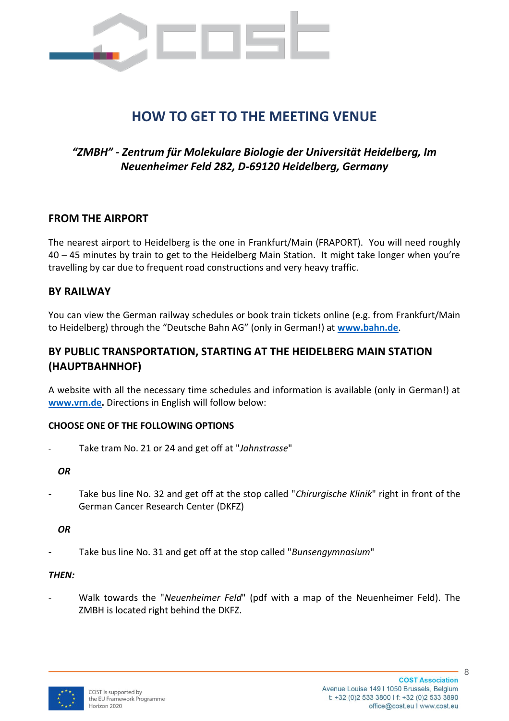

# **HOW TO GET TO THE MEETING VENUE**

# *"ZMBH" - Zentrum für Molekulare Biologie der Universität Heidelberg, Im Neuenheimer Feld 282, D-69120 Heidelberg, Germany*

#### **FROM THE AIRPORT**

The nearest airport to Heidelberg is the one in Frankfurt/Main (FRAPORT). You will need roughly 40 – 45 minutes by train to get to the Heidelberg Main Station. It might take longer when you're travelling by car due to frequent road constructions and very heavy traffic.

#### **BY RAILWAY**

You can view the German railway schedules or book train tickets online (e.g. from Frankfurt/Main to Heidelberg) through the "Deutsche Bahn AG" (only in German!) at **[www.bahn.de](file:///D:/Office%20Beate/GENIEUR/Meeting%20Final%20Heidelberg%202016/www.bahn.de)**.

## **BY PUBLIC TRANSPORTATION, STARTING AT THE HEIDELBERG MAIN STATION (HAUPTBAHNHOF)**

A website with all the necessary time schedules and information is available (only in German!) at **[www.vrn.de.](file:///D:/Office%20Beate/GENIEUR/Meeting%20Final%20Heidelberg%202016/www.vrn.de)** Directions in English will follow below:

#### **CHOOSE ONE OF THE FOLLOWING OPTIONS**

- Take tram No. 21 or 24 and get off at "*Jahnstrasse*"

*OR*

Take bus line No. 32 and get off at the stop called "Chirurgische Klinik" right in front of the German Cancer Research Center (DKFZ)

#### *OR*

- Take bus line No. 31 and get off at the stop called "*Bunsengymnasium*"

#### *THEN:*

- Walk towards the "*Neuenheimer Feld*" (pdf with a map of the Neuenheimer Feld). The ZMBH is located right behind the DKFZ.

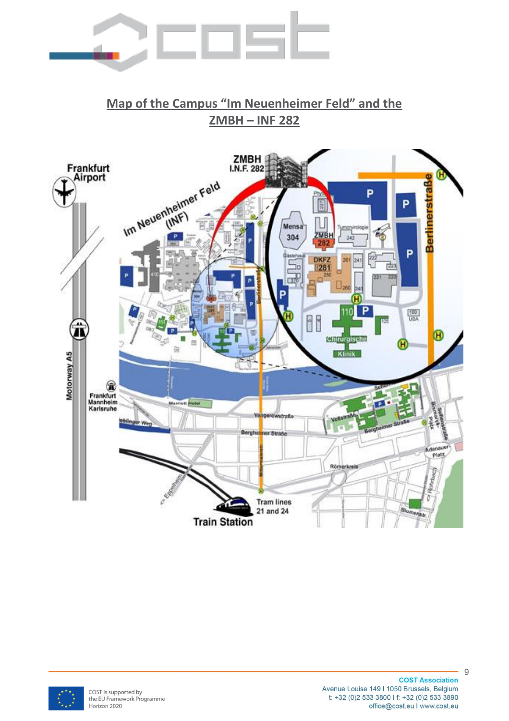

# **Map of the Campus "Im Neuenheimer Feld" and the ZMBH – INF 282**